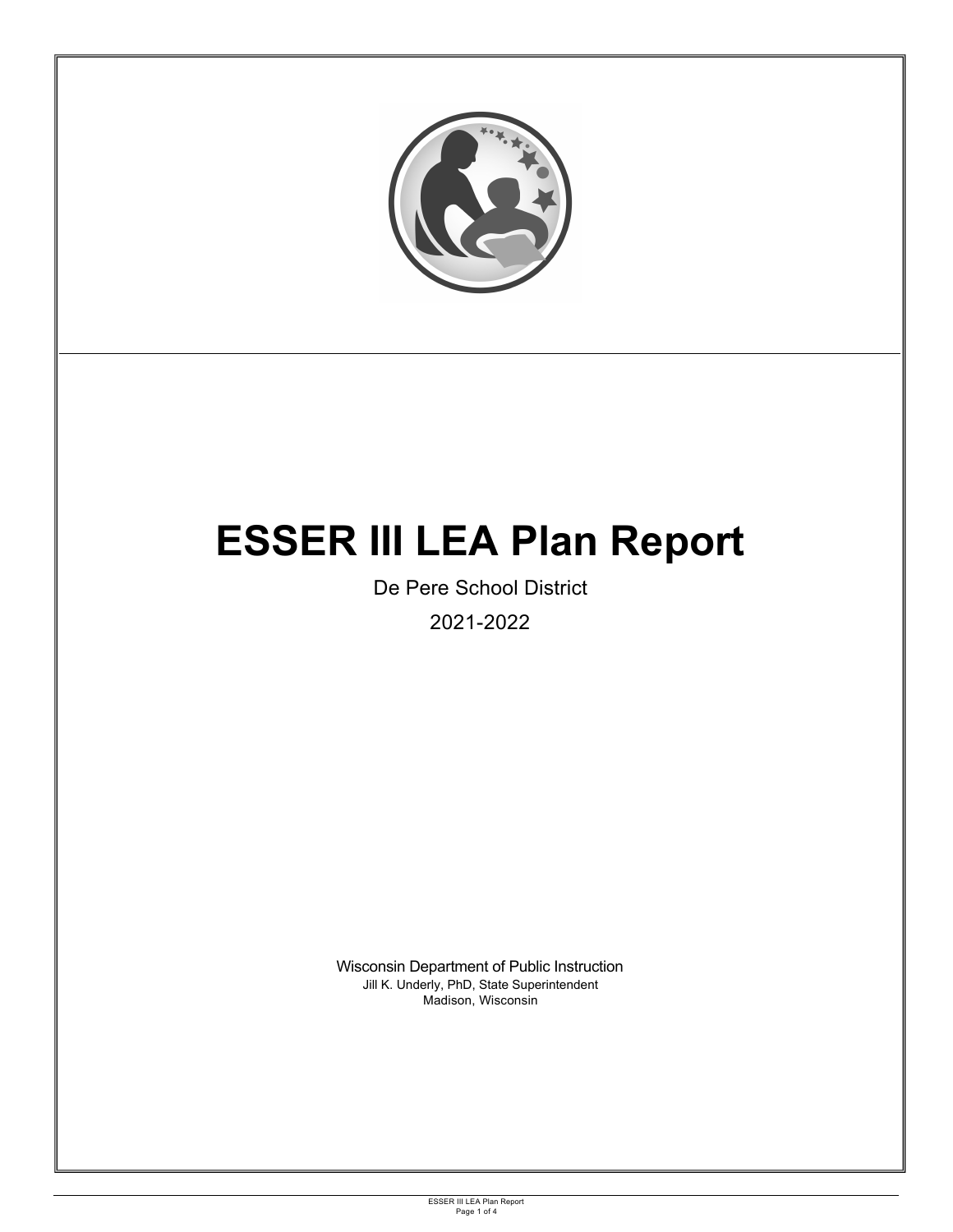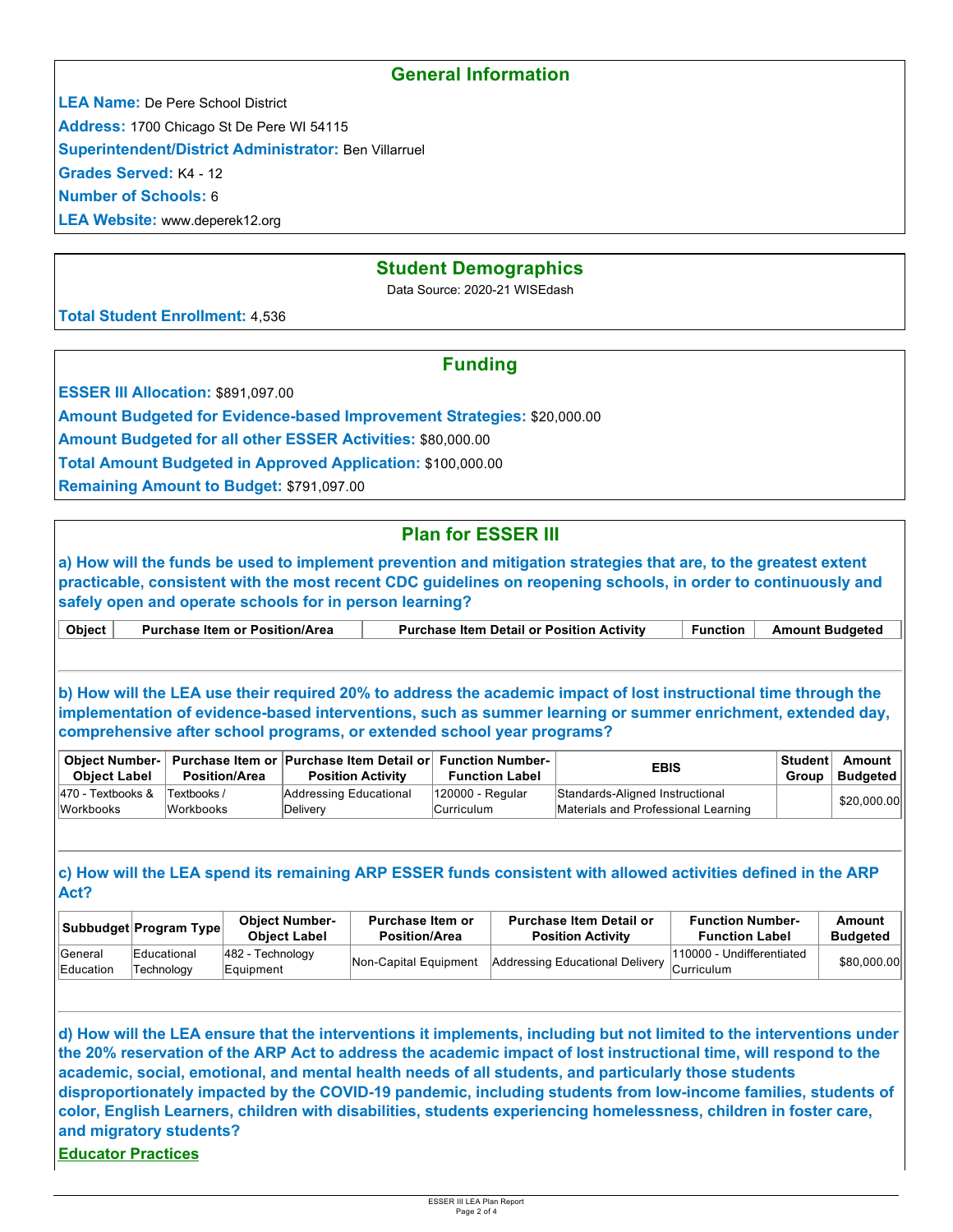### **General Information**

**LEA Name:** De Pere School District

**Address:** 1700 Chicago St De Pere WI 54115

**Superintendent/District Administrator:** Ben Villarruel

**Grades Served:** K4 - 12

**Number of Schools:** 6

**LEA Website:** www.deperek12.org

### **Student Demographics**

Data Source: 2020-21 WISEdash

**Total Student Enrollment:** 4,536

## **Funding**

**ESSER III Allocation: \$891,097.00** 

**Amount Budgeted for Evidence-based Improvement Strategies:** \$20,000.00

**Amount Budgeted for all other ESSER Activities:** \$80,000.00

**Total Amount Budgeted in Approved Application:** \$100,000.00

**Remaining Amount to Budget:** \$791,097.00

# **Plan for ESSER III**

**a) How will the funds be used to implement prevention and mitigation strategies that are, to the greatest extent practicable, consistent with the most recent CDC guidelines on reopening schools, in order to continuously and safely open and operate schools for in person learning?**

|  | <b>Object</b> | <b>Purchase Item or Position/Area</b> | <b>Purchase Item Detail or Position Activity</b> | ™unction | <b>Amount Budgeted</b> |
|--|---------------|---------------------------------------|--------------------------------------------------|----------|------------------------|
|--|---------------|---------------------------------------|--------------------------------------------------|----------|------------------------|

**b) How will the LEA use their required 20% to address the academic impact of lost instructional time through the implementation of evidence-based interventions, such as summer learning or summer enrichment, extended day, comprehensive after school programs, or extended school year programs?**

| <b>Obiect Number-</b><br><b>Object Label</b> | Position/Area            | Purchase Item or Purchase Item Detail or Function Number-<br><b>Position Activity</b> | <b>Function Label</b>          | <b>EBIS</b>                                                            | Group | ∣Student∃ Amount<br>Budgeted |
|----------------------------------------------|--------------------------|---------------------------------------------------------------------------------------|--------------------------------|------------------------------------------------------------------------|-------|------------------------------|
| 470 - Textbooks &<br><b>Workbooks</b>        | Textbooks /<br>Workbooks | Addressing Educational<br>Delivery                                                    | 120000 - Regular<br>Curriculum | Standards-Aligned Instructional<br>Materials and Professional Learning |       | \$20,000.00                  |

#### **c) How will the LEA spend its remaining ARP ESSER funds consistent with allowed activities defined in the ARP Act?**

|                      | Subbudget Program Type    | <b>Obiect Number-</b><br><b>Obiect Label</b> | Purchase Item or<br><b>Position/Area</b> | <b>Purchase Item Detail or</b><br><b>Position Activity</b> | <b>Function Number-</b><br><b>Function Label</b> | Amount<br><b>Budgeted</b> |
|----------------------|---------------------------|----------------------------------------------|------------------------------------------|------------------------------------------------------------|--------------------------------------------------|---------------------------|
| General<br>Education | Educational<br>Technoloav | $ 482 - \text{Technology} $<br>Equipment     | Non-Capital Equipment                    | Addressing Educational Delivery                            | 110000 - Undifferentiated<br><b>Curriculum</b>   | \$80,000.00               |

**d) How will the LEA ensure that the interventions it implements, including but not limited to the interventions under the 20% reservation of the ARP Act to address the academic impact of lost instructional time, will respond to the academic, social, emotional, and mental health needs of all students, and particularly those students disproportionately impacted by the COVID-19 pandemic, including students from low-income families, students of color, English Learners, children with disabilities, students experiencing homelessness, children in foster care, and migratory students?**

**Educator Practices**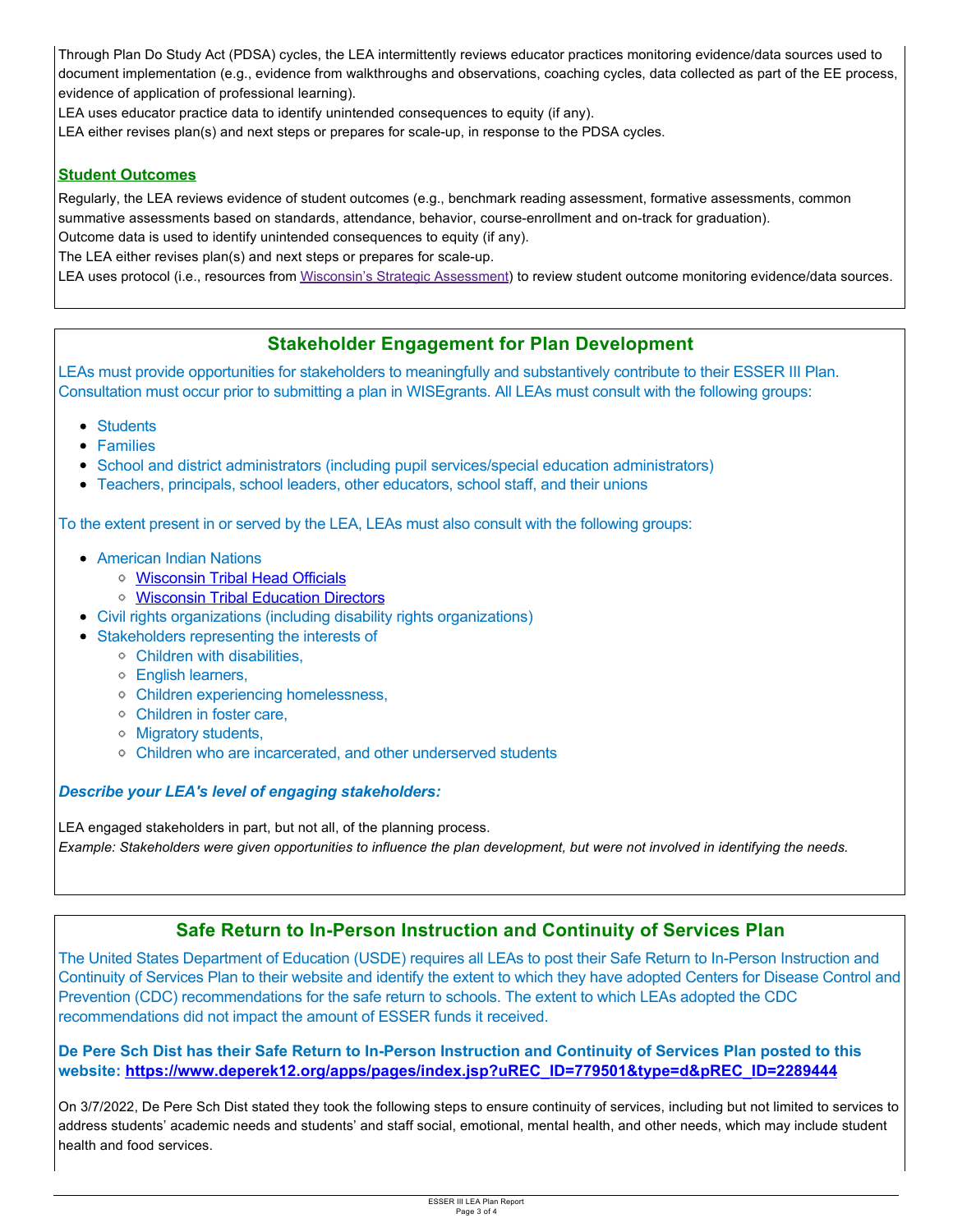Through Plan Do Study Act (PDSA) cycles, the LEA intermittently reviews educator practices monitoring evidence/data sources used to document implementation (e.g., evidence from walkthroughs and observations, coaching cycles, data collected as part of the EE process, evidence of application of professional learning).

LEA uses educator practice data to identify unintended consequences to equity (if any).

LEA either revises plan(s) and next steps or prepares for scale-up, in response to the PDSA cycles.

#### **Student Outcomes**

Regularly, the LEA reviews evidence of student outcomes (e.g., benchmark reading assessment, formative assessments, common summative assessments based on standards, attendance, behavior, course-enrollment and on-track for graduation). Outcome data is used to identify unintended consequences to equity (if any).

The LEA either revises plan(s) and next steps or prepares for scale-up.

LEA uses protocol (i.e., resources from Wisconsin's Strategic Assessment) to review student outcome monitoring evidence/data sources.

### **Stakeholder Engagement for Plan Development**

LEAs must provide opportunities for stakeholders to meaningfully and substantively contribute to their ESSER III Plan. Consultation must occur prior to submitting a plan in WISEgrants. All LEAs must consult with the following groups:

- Students
- Families
- School and district administrators (including pupil services/special education administrators)
- Teachers, principals, school leaders, other educators, school staff, and their unions

To the extent present in or served by the LEA, LEAs must also consult with the following groups:

- American Indian Nations
	- [Wisconsin Tribal Head Officials](http://witribes.wi.gov/docview.asp?docid=19085&locid=57)
	- [Wisconsin Tribal Education Directors](https://wiea.net/about-wiea/wisconsin-tribal-education-directors/)
- Civil rights organizations (including disability rights organizations)
- Stakeholders representing the interests of
	- Children with disabilities,
	- English learners,
	- Children experiencing homelessness,
	- Children in foster care,
	- Migratory students,
	- Children who are incarcerated, and other underserved students

#### *Describe your LEA's level of engaging stakeholders:*

LEA engaged stakeholders in part, but not all, of the planning process. *Example: Stakeholders were given opportunities to influence the plan development, but were not involved in identifying the needs.* 

### **Safe Return to In-Person Instruction and Continuity of Services Plan**

The United States Department of Education (USDE) requires all LEAs to post their Safe Return to In-Person Instruction and Continuity of Services Plan to their website and identify the extent to which they have adopted Centers for Disease Control and Prevention (CDC) recommendations for the safe return to schools. The extent to which LEAs adopted the CDC recommendations did not impact the amount of ESSER funds it received.

**De Pere Sch Dist has their Safe Return to In-Person Instruction and Continuity of Services Plan posted to this website: [https://www.deperek12.org/apps/pages/index.jsp?uREC\\_ID=779501&type=d&pREC\\_ID=2289444](https://www.deperek12.org/apps/pages/index.jsp?uREC_ID=779501&type=d&pREC_ID=2289444)**

On 3/7/2022, De Pere Sch Dist stated they took the following steps to ensure continuity of services, including but not limited to services to address students' academic needs and students' and staff social, emotional, mental health, and other needs, which may include student health and food services.